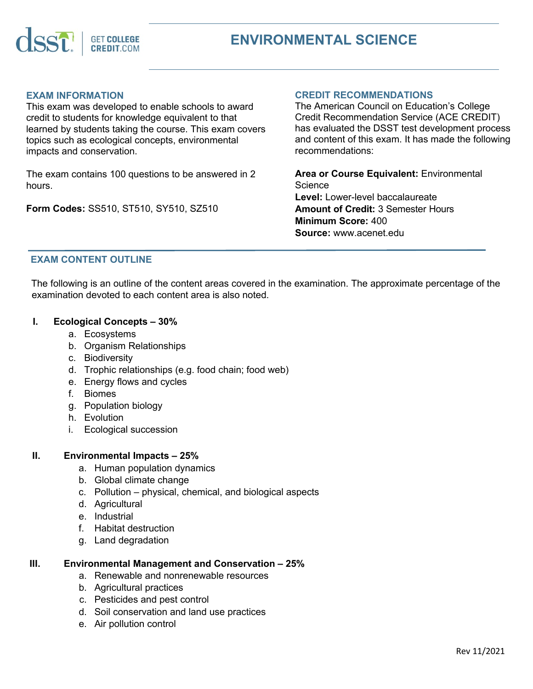

### **EXAM INFORMATION**

This exam was developed to enable schools to award credit to students for knowledge equivalent to that learned by students taking the course. This exam covers topics such as ecological concepts, environmental impacts and conservation.

The exam contains 100 questions to be answered in 2 hours.

**Form Codes:** SS510, ST510, SY510, SZ510

#### **CREDIT RECOMMENDATIONS**

The American Council on Education's College Credit Recommendation Service (ACE CREDIT) has evaluated the DSST test development process and content of this exam. It has made the following recommendations:

**Area or Course Equivalent:** Environmental **Science Level:** Lower-level baccalaureate **Amount of Credit:** 3 Semester Hours **Minimum Score:** 400 **Source:** www.acenet.edu

## **EXAM CONTENT OUTLINE**

The following is an outline of the content areas covered in the examination. The approximate percentage of the examination devoted to each content area is also noted.

#### **I. Ecological Concepts – 30%**

- a. Ecosystems
- b. Organism Relationships
- c. Biodiversity
- d. Trophic relationships (e.g. food chain; food web)
- e. Energy flows and cycles
- f. Biomes
- g. Population biology
- h. Evolution
- i. Ecological succession

## **II. Environmental Impacts – 25%**

- a. Human population dynamics
- b. Global climate change
- c. Pollution physical, chemical, and biological aspects
- d. Agricultural
- e. Industrial
- f. Habitat destruction
- g. Land degradation

#### **III. Environmental Management and Conservation – 25%**

- a. Renewable and nonrenewable resources
- b. Agricultural practices
- c. Pesticides and pest control
- d. Soil conservation and land use practices
- e. Air pollution control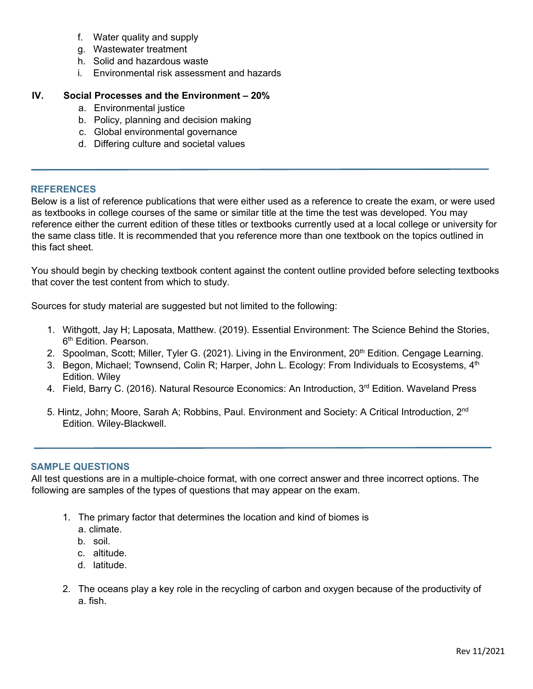- f. Water quality and supply
- g. Wastewater treatment
- h. Solid and hazardous waste
- i. Environmental risk assessment and hazards

# **IV. Social Processes and the Environment – 20%**

- a. Environmental justice
- b. Policy, planning and decision making
- c. Global environmental governance
- d. Differing culture and societal values

#### **REFERENCES**

Below is a list of reference publications that were either used as a reference to create the exam, or were used as textbooks in college courses of the same or similar title at the time the test was developed. You may reference either the current edition of these titles or textbooks currently used at a local college or university for the same class title. It is recommended that you reference more than one textbook on the topics outlined in this fact sheet.

You should begin by checking textbook content against the content outline provided before selecting textbooks that cover the test content from which to study.

Sources for study material are suggested but not limited to the following:

- 1. Withgott, Jay H; Laposata, Matthew. (2019). Essential Environment: The Science Behind the Stories, 6<sup>th</sup> Edition. Pearson.
- 2. Spoolman, Scott; Miller, Tyler G. (2021). Living in the Environment, 20<sup>th</sup> Edition. Cengage Learning.
- 3. Begon, Michael; Townsend, Colin R; Harper, John L. Ecology: From Individuals to Ecosystems, 4<sup>th</sup> Edition. Wiley
- 4. Field, Barry C. (2016). Natural Resource Economics: An Introduction, 3<sup>rd</sup> Edition. Waveland Press
- 5. Hintz, John; Moore, Sarah A; Robbins, Paul. Environment and Society: A Critical Introduction, 2<sup>nd</sup> Edition. Wiley-Blackwell.

## **SAMPLE QUESTIONS**

All test questions are in a multiple-choice format, with one correct answer and three incorrect options. The following are samples of the types of questions that may appear on the exam.

- 1. The primary factor that determines the location and kind of biomes is
	- a. climate.
	- b. soil.
	- c. altitude.
	- d. latitude.
- 2. The oceans play a key role in the recycling of carbon and oxygen because of the productivity of a. fish.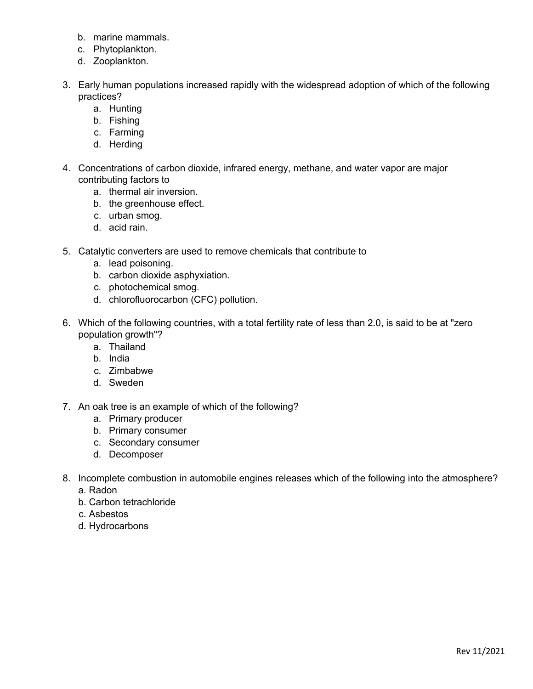- b. marine mammals.
- c. Phytoplankton.
- d. Zooplankton.
- 3. Early human populations increased rapidly with the widespread adoption of which of the following practices?
	- a. Hunting
	- b. Fishing
	- c. Farming
	- d. Herding
- 4. Concentrations of carbon dioxide, infrared energy, methane, and water vapor are major contributing factors to
	- a. thermal air inversion.
	- b. the greenhouse effect.
	- c. urban smog.
	- d. acid rain.
- 5. Catalytic converters are used to remove chemicals that contribute to
	- a. lead poisoning.
	- b. carbon dioxide asphyxiation.
	- c. photochemical smog.
	- d. chlorofluorocarbon (CFC) pollution.
- 6. Which of the following countries, with a total fertility rate of less than 2.0, is said to be at "zero population growth"?
	- a. Thailand
	- b. India
	- c. Zimbabwe
	- d. Sweden
- 7. An oak tree is an example of which of the following?
	- a. Primary producer
	- b. Primary consumer
	- c. Secondary consumer
	- d. Decomposer
- 8. Incomplete combustion in automobile engines releases which of the following into the atmosphere?
	- a. Radon
	- b. Carbon tetrachloride
	- c. Asbestos
	- d. Hydrocarbons